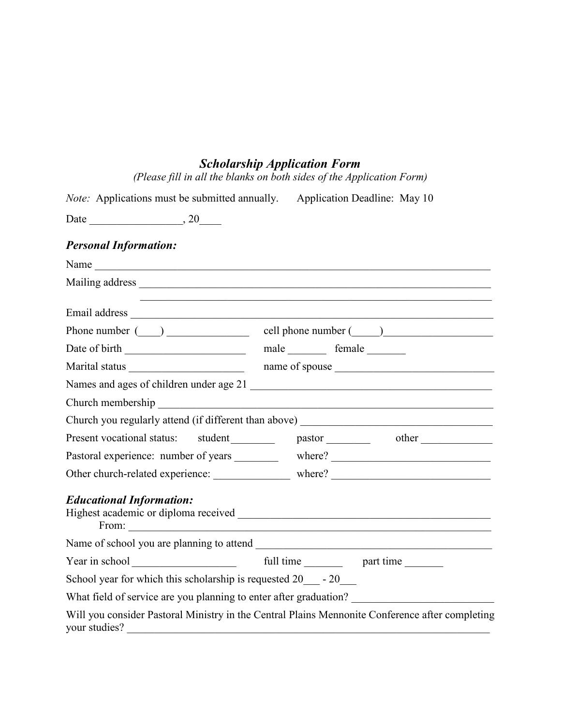## Scholarship Application Form

| (Please fill in all the blanks on both sides of the Application Form) |
|-----------------------------------------------------------------------|
|-----------------------------------------------------------------------|

| <i>Note:</i> Applications must be submitted annually.         | Application Deadline: May 10                                                                    |
|---------------------------------------------------------------|-------------------------------------------------------------------------------------------------|
|                                                               |                                                                                                 |
| <b>Personal Information:</b>                                  |                                                                                                 |
| Name                                                          |                                                                                                 |
|                                                               |                                                                                                 |
|                                                               |                                                                                                 |
|                                                               | Phone number $(\_\_)$ $\_\_$ cell phone number $(\_\_)$                                         |
|                                                               | male _________ female ________                                                                  |
|                                                               | name of spouse                                                                                  |
|                                                               |                                                                                                 |
|                                                               |                                                                                                 |
|                                                               | Church you regularly attend (if different than above) ___________________________               |
| Present vocational status: student                            | pastor other other                                                                              |
|                                                               | Pastoral experience: number of years ___________ where? ________________________                |
|                                                               |                                                                                                 |
| <b>Educational Information:</b>                               |                                                                                                 |
|                                                               |                                                                                                 |
|                                                               |                                                                                                 |
| School year for which this scholarship is requested $20 - 20$ |                                                                                                 |
|                                                               | What field of service are you planning to enter after graduation? _______________               |
| your studies?                                                 | Will you consider Pastoral Ministry in the Central Plains Mennonite Conference after completing |